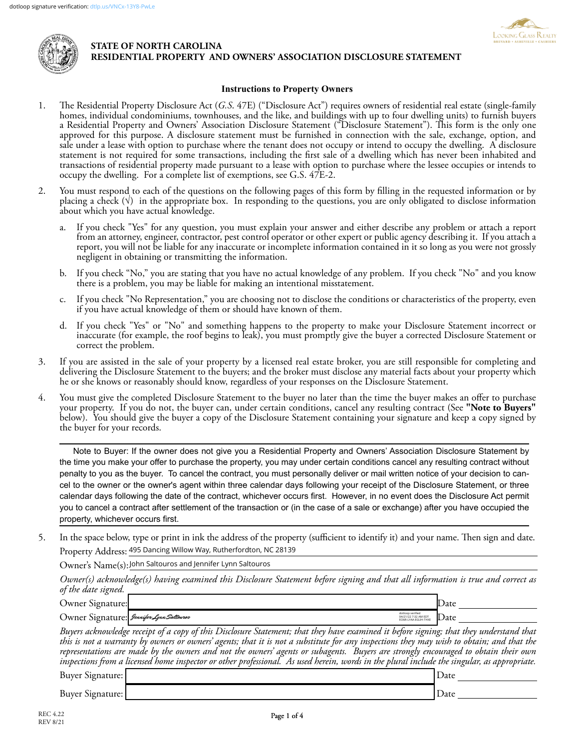



## **STATE OF NORTH CAROLINA RESIDENTIAL PROPERTY AND OWNERS' ASSOCIATION DISCLOSURE STATEMENT**

## **Instructions to Property Owners**

- 1. The Residential Property Disclosure Act (*G.S*. 47E) ("Disclosure Act") requires owners of residential real estate (single-family homes, individual condominiums, townhouses, and the like, and buildings with up to four dwelling units) to furnish buyers a Residential Property and Owners' Association Disclosure Statement ("Disclosure Statement"). This form is the only one approved for this purpose. A disclosure statement must be furnished in connection with the sale, exchange, option, and sale under a lease with option to purchase where the tenant does not occupy or intend to occupy the dwelling. A disclosure statement is not required for some transactions, including the first sale of a dwelling which has never been inhabited and transactions of residential property made pursuant to a lease with option to purchase where the lessee occupies or intends to occupy the dwelling. For a complete list of exemptions, see G.S. 47E-2.
- 2. You must respond to each of the questions on the following pages of this form by filling in the requested information or by placing a check  $(\vee)$  in the appropriate box. In responding to the questions, you are only obligated to disclose information about which you have actual knowledge.
	- a. If you check "Yes" for any question, you must explain your answer and either describe any problem or attach a report from an attorney, engineer, contractor, pest control operator or other expert or public agency describing it. If you attach a report, you will not be liable for any inaccurate or incomplete information contained in it so long as you were not grossly negligent in obtaining or transmitting the information.
	- b. If you check "No," you are stating that you have no actual knowledge of any problem. If you check "No" and you know there is a problem, you may be liable for making an intentional misstatement.
	- c. If you check "No Representation," you are choosing not to disclose the conditions or characteristics of the property, even if you have actual knowledge of them or should have known of them.
	- d. If you check "Yes" or "No" and something happens to the property to make your Disclosure Statement incorrect or inaccurate (for example, the roof begins to leak), you must promptly give the buyer a corrected Disclosure Statement or correct the problem.
- 3. If you are assisted in the sale of your property by a licensed real estate broker, you are still responsible for completing and delivering the Disclosure Statement to the buyers; and the broker must disclose any material facts about your property which he or she knows or reasonably should know, regardless of your responses on the Disclosure Statement.
- 4. You must give the completed Disclosure Statement to the buyer no later than the time the buyer makes an offer to purchase your property. If you do not, the buyer can, under certain conditions, cancel any resulting contract (See **"Note to Buyers"** below). You should give the buyer a copy of the Disclosure Statement containing your signature and keep a copy signed by the buyer for your records.

Note to Buyer: If the owner does not give you a Residential Property and Owners' Association Disclosure Statement by the time you make your offer to purchase the property, you may under certain conditions cancel any resulting contract without penalty to you as the buyer. To cancel the contract, you must personally deliver or mail written notice of your decision to cancel to the owner or the owner's agent within three calendar days following your receipt of the Disclosure Statement, or three calendar days following the date of the contract, whichever occurs first. However, in no event does the Disclosure Act permit you to cancel a contract after settlement of the transaction or (in the case of a sale or exchange) after you have occupied the property, whichever occurs first.

5. In the space below, type or print in ink the address of the property (sufficient to identify it) and your name. Then sign and date. Property Address: 495 Dancing Willow Way, Rutherfordton, NC 28139

Owner's Name(s): John Saltouros and Jennifer Lynn Saltouros

*Owner(s) acknowledge(s) having examined this Disclosure Statement before signing and that all information is true and correct as of the date signed.*

| Owner Signature:                                                                                                                            | lDate |
|---------------------------------------------------------------------------------------------------------------------------------------------|-------|
| dotloop verified<br>04/21/22 7:32 AM EDT<br>EO6R-LYAA-EGUH-THXE<br>Owner Signature: <i>Jennifer Lynn Saltouros</i>                          | Date  |
| Buyers acknowledge receipt of a copy of this Disclosure Statement; that they have examined it before signing; that they understand that     |       |
| this is not a warranty by owners or owners' agents; that it is not a substitute for any inspections they may wish to obtain; and that the   |       |
| representations are made by the owners and not the owners' agents or subagents. Buyers are strongly encouraged to obtain their own          |       |
| inspections from a licensed home inspector or other professional. As used herein, words in the plural include the singular, as appropriate. |       |

Buyer Signature: Date ,

Buyer Signature: Date , Date , Date , Date , Date , Date , Date , Date , Date , Date , Date , Date , Date , Date , Date , Date , Date , Date , Date , Date , Date , Date , Date , Date , Date , Date , Date , Date , Date , Da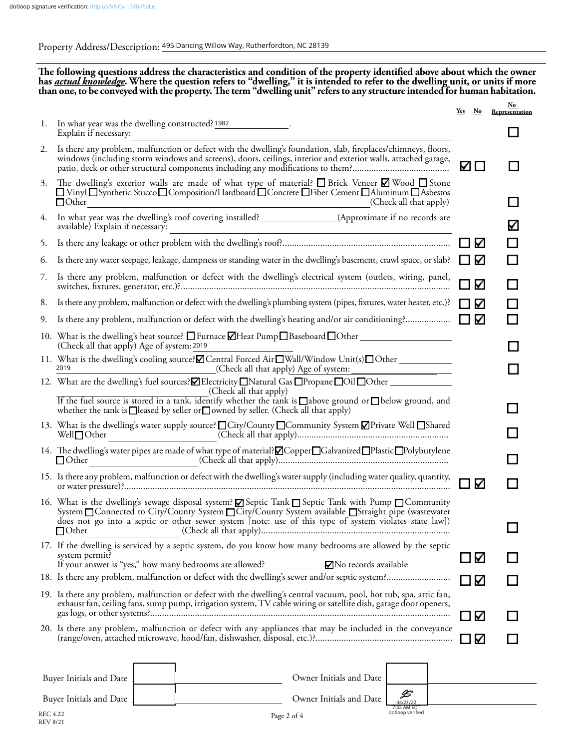Property Address/Description: 495 Dancing Willow Way, Rutherfordton, NC 28139

**The following questions address the characteristics and condition of the property identified above about which the owner**  has <u>actual knowledge</u>. Where the question refers to "dwelling," it is intended to refer to the dwelling unit, or units if more<br>than one, to be conveyed with the property. The term "dwelling unit" refers to any structure i

|          |                                                                                                                                                                                                                                                                                                                                                     | Yes<br>$N_{\rm O}$ |   | <u>No</u><br>Representation |
|----------|-----------------------------------------------------------------------------------------------------------------------------------------------------------------------------------------------------------------------------------------------------------------------------------------------------------------------------------------------------|--------------------|---|-----------------------------|
| 1.       | In what year was the dwelling constructed? 1982<br>Explain if necessary:                                                                                                                                                                                                                                                                            |                    |   |                             |
| 2.       | Is there any problem, malfunction or defect with the dwelling's foundation, slab, fireplaces/chimneys, floors,<br>windows (including storm windows and screens), doors, ceilings, interior and exterior walls, attached garage,                                                                                                                     | M                  |   |                             |
| 3.       | The dwelling's exterior walls are made of what type of material? $\Box$ Brick Veneer $\Box$ Wood $\Box$ Stone<br>□ Vinyl OSynthetic Stucco O Composition/Hardboard O Concrete OFiber Cement O Aluminum O Asbestos<br>$\Box$ Other<br>(Check all that apply)                                                                                         |                    |   | a di ser                    |
| 4.       | In what year was the dwelling's roof covering installed? _____________________(Approximate if no records are<br>available) Explain if necessary:<br><u> 1980 - Johann Stein, marwolaethau a bhann an t-Amhair Aonaich an t-Amhair Aonaich an t-Amhair Aonaich an t-A</u>                                                                            |                    |   | V                           |
| 5.       |                                                                                                                                                                                                                                                                                                                                                     | Δ                  |   |                             |
| 6.       | Is there any water seepage, leakage, dampness or standing water in the dwelling's basement, crawl space, or slab?                                                                                                                                                                                                                                   | Ν                  |   |                             |
| 7.       | Is there any problem, malfunction or defect with the dwelling's electrical system (outlets, wiring, panel,                                                                                                                                                                                                                                          | Κ                  |   |                             |
| 8.       | Is there any problem, malfunction or defect with the dwelling's plumbing system (pipes, fixtures, water heater, etc.)?                                                                                                                                                                                                                              | Κ                  |   |                             |
| 9.       |                                                                                                                                                                                                                                                                                                                                                     |                    | Κ |                             |
|          | 10. What is the dwelling's heat source? $\square$ Furnace $\square$ Heat Pump $\square$ Baseboard $\square$ Other<br>(Check all that apply) Age of system: 2019                                                                                                                                                                                     |                    |   |                             |
|          | 2019                                                                                                                                                                                                                                                                                                                                                |                    |   |                             |
|          | 12. What are the dwelling's fuel sources? ZElectricity Natural Gas DPropane DOil DOther                                                                                                                                                                                                                                                             |                    |   |                             |
|          | (Check all that apply)<br>If the fuel source is stored in a tank, identify whether the tank is $\Box$ above ground or $\Box$ below ground, and<br>whether the tank is □ leased by seller or □ owned by seller. (Check all that apply)                                                                                                               |                    |   |                             |
|          | 13. What is the dwelling's water supply source? □ City/County □ Community System Ø Private Well □ Shared<br>Well $\Box$ Other                                                                                                                                                                                                                       |                    |   |                             |
|          | 14. The dwelling's water pipes are made of what type of material? Ø Copper□Galvanized□Plastic□Polybutylene<br>$\Box$ Other                                                                                                                                                                                                                          |                    |   |                             |
|          | 15. Is there any problem, malfunction or defect with the dwelling's water supply (including water quality, quantity,                                                                                                                                                                                                                                |                    | Κ |                             |
|          | 16. What is the dwelling's sewage disposal system? <b>Ø</b> Septic Tank <b>□</b> Septic Tank with Pump □ Community<br>System □ Connected to City/County System □ City/County System available □ Straight pipe (wastewater<br>does not go into a septic or other sewer system [note: use of this type of system violates state law])<br>$\Box$ Other |                    |   |                             |
|          | 17. If the dwelling is serviced by a septic system, do you know how many bedrooms are allowed by the septic<br>system permit?                                                                                                                                                                                                                       | K                  |   |                             |
|          | If your answer is "yes," how many bedrooms are allowed?<br>No records available                                                                                                                                                                                                                                                                     |                    |   |                             |
|          | 19. Is there any problem, malfunction or defect with the dwelling's central vacuum, pool, hot tub, spa, attic fan,<br>exhaust fan, ceiling fans, sump pump, irrigation system, TV cable wiring or satellite dish, garage door openers,                                                                                                              | К                  |   |                             |
|          |                                                                                                                                                                                                                                                                                                                                                     | $\Box$ $\vee$      |   |                             |
|          | 20. Is there any problem, malfunction or defect with any appliances that may be included in the conveyance                                                                                                                                                                                                                                          | $\Box$ $\vee$      |   |                             |
|          |                                                                                                                                                                                                                                                                                                                                                     |                    |   |                             |
|          | Owner Initials and Date<br>Buyer Initials and Date                                                                                                                                                                                                                                                                                                  |                    |   |                             |
|          | Owner Initials and Date<br>Buyer Initials and Date<br>04/21/22                                                                                                                                                                                                                                                                                      |                    |   |                             |
| REC 4.22 | 7:32 AM EDT<br>dotloop verified                                                                                                                                                                                                                                                                                                                     |                    |   |                             |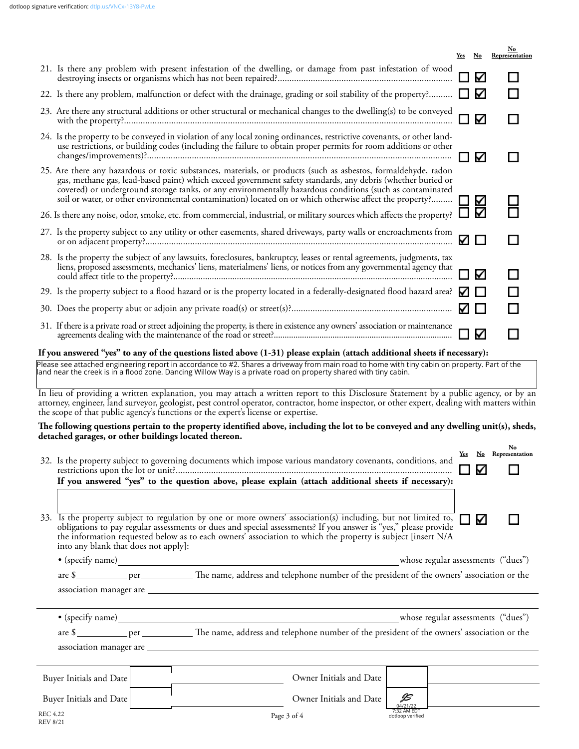|                                                                                                                                                                                                                                                                                                                                                                             |                                                                                                                                                                                                                                                                                                                                                                                                                                                      | <u>Yes</u> | $\mathbf{N}\mathbf{o}$ | $\mathbf{N}\mathbf{o}$<br><b>Representation</b> |  |
|-----------------------------------------------------------------------------------------------------------------------------------------------------------------------------------------------------------------------------------------------------------------------------------------------------------------------------------------------------------------------------|------------------------------------------------------------------------------------------------------------------------------------------------------------------------------------------------------------------------------------------------------------------------------------------------------------------------------------------------------------------------------------------------------------------------------------------------------|------------|------------------------|-------------------------------------------------|--|
|                                                                                                                                                                                                                                                                                                                                                                             | 21. Is there any problem with present infestation of the dwelling, or damage from past infestation of wood                                                                                                                                                                                                                                                                                                                                           |            | Κ                      |                                                 |  |
|                                                                                                                                                                                                                                                                                                                                                                             | 22. Is there any problem, malfunction or defect with the drainage, grading or soil stability of the property?                                                                                                                                                                                                                                                                                                                                        |            | Κ                      |                                                 |  |
|                                                                                                                                                                                                                                                                                                                                                                             | 23. Are there any structural additions or other structural or mechanical changes to the dwelling(s) to be conveyed                                                                                                                                                                                                                                                                                                                                   |            | Δ                      |                                                 |  |
|                                                                                                                                                                                                                                                                                                                                                                             | 24. Is the property to be conveyed in violation of any local zoning ordinances, restrictive covenants, or other land-<br>use restrictions, or building codes (including the failure to obtain proper permits for room additions or other                                                                                                                                                                                                             |            | K                      |                                                 |  |
|                                                                                                                                                                                                                                                                                                                                                                             | 25. Are there any hazardous or toxic substances, materials, or products (such as asbestos, formaldehyde, radon<br>gas, methane gas, lead-based paint) which exceed government safety standards, any debris (whether buried or<br>covered) or underground storage tanks, or any environmentally hazardous conditions (such as contaminated<br>soil or water, or other environmental contamination) located on or which otherwise affect the property? |            | К                      |                                                 |  |
|                                                                                                                                                                                                                                                                                                                                                                             | 26. Is there any noise, odor, smoke, etc. from commercial, industrial, or military sources which affects the property?                                                                                                                                                                                                                                                                                                                               |            | Κ                      |                                                 |  |
|                                                                                                                                                                                                                                                                                                                                                                             | 27. Is the property subject to any utility or other easements, shared driveways, party walls or encroachments from                                                                                                                                                                                                                                                                                                                                   | Κ          | □                      |                                                 |  |
|                                                                                                                                                                                                                                                                                                                                                                             | 28. Is the property the subject of any lawsuits, foreclosures, bankruptcy, leases or rental agreements, judgments, tax<br>liens, proposed assessments, mechanics' liens, materialmens' liens, or notices from any governmental agency that                                                                                                                                                                                                           |            | Ν                      |                                                 |  |
|                                                                                                                                                                                                                                                                                                                                                                             | 29. Is the property subject to a flood hazard or is the property located in a federally-designated flood hazard area?                                                                                                                                                                                                                                                                                                                                |            |                        |                                                 |  |
|                                                                                                                                                                                                                                                                                                                                                                             |                                                                                                                                                                                                                                                                                                                                                                                                                                                      |            |                        |                                                 |  |
|                                                                                                                                                                                                                                                                                                                                                                             |                                                                                                                                                                                                                                                                                                                                                                                                                                                      |            | ∇                      |                                                 |  |
|                                                                                                                                                                                                                                                                                                                                                                             | If you answered "yes" to any of the questions listed above (1-31) please explain (attach additional sheets if necessary):                                                                                                                                                                                                                                                                                                                            |            |                        |                                                 |  |
|                                                                                                                                                                                                                                                                                                                                                                             | Please see attached engineering report in accordance to #2. Shares a driveway from main road to home with tiny cabin on property. Part of the land near the creek is in a flood zone. Dancing Willow Way is a private road on                                                                                                                                                                                                                        |            |                        |                                                 |  |
| In lieu of providing a written explanation, you may attach a written report to this Disclosure Statement by a public agency, or by an<br>attorney, engineer, land surveyor, geologist, pest control operator, contractor, home inspector, or other expert, dealing with matters within<br>the scope of that public agency's functions or the expert's license or expertise. |                                                                                                                                                                                                                                                                                                                                                                                                                                                      |            |                        |                                                 |  |
|                                                                                                                                                                                                                                                                                                                                                                             | The following questions pertain to the property identified above, including the lot to be conveyed and any dwelling unit(s), sheds,<br>detached garages, or other buildings located thereon.                                                                                                                                                                                                                                                         |            |                        |                                                 |  |
|                                                                                                                                                                                                                                                                                                                                                                             | 32. Is the property subject to governing documents which impose various mandatory covenants, conditions, and                                                                                                                                                                                                                                                                                                                                         |            | K                      | No<br>Yes No Representation                     |  |
|                                                                                                                                                                                                                                                                                                                                                                             | If you answered "yes" to the question above, please explain (attach additional sheets if necessary):                                                                                                                                                                                                                                                                                                                                                 |            |                        |                                                 |  |
|                                                                                                                                                                                                                                                                                                                                                                             |                                                                                                                                                                                                                                                                                                                                                                                                                                                      |            |                        |                                                 |  |
|                                                                                                                                                                                                                                                                                                                                                                             | 33. Is the property subject to regulation by one or more owners' association(s) including, but not limited to,<br>obligations to pay regular assessments or dues and special assessments? If you answer is "yes," please provide<br>the information requested below as to each owners' association to which the property is subject [insert N/A<br>into any blank that does not apply]:                                                              |            | ∇                      | H                                               |  |
|                                                                                                                                                                                                                                                                                                                                                                             |                                                                                                                                                                                                                                                                                                                                                                                                                                                      |            |                        |                                                 |  |
|                                                                                                                                                                                                                                                                                                                                                                             |                                                                                                                                                                                                                                                                                                                                                                                                                                                      |            |                        |                                                 |  |
|                                                                                                                                                                                                                                                                                                                                                                             |                                                                                                                                                                                                                                                                                                                                                                                                                                                      |            |                        |                                                 |  |
|                                                                                                                                                                                                                                                                                                                                                                             |                                                                                                                                                                                                                                                                                                                                                                                                                                                      |            |                        |                                                 |  |

| $\bullet$ (specify name)           | whose regular assessments ("dues")                                                        |
|------------------------------------|-------------------------------------------------------------------------------------------|
| are \$<br>per                      | The name, address and telephone number of the president of the owners' association or the |
| association manager are            |                                                                                           |
|                                    |                                                                                           |
| Buyer Initials and Date            | Owner Initials and Date                                                                   |
| Buyer Initials and Date            | JS<br>Owner Initials and Date<br>04/21/22                                                 |
| <b>REC 4.22</b><br><b>REV 8/21</b> | 7:32 AM EDT<br>Page 3 of 4<br>dotloop verified                                            |